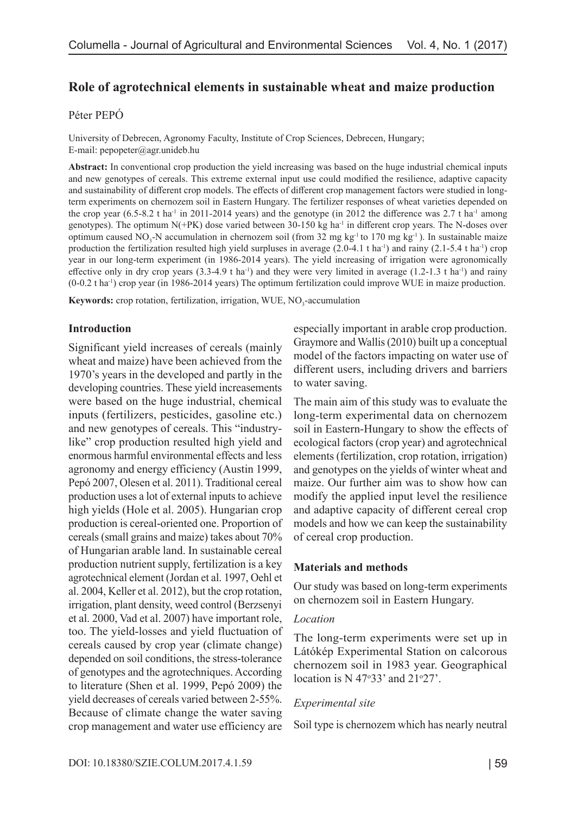# **Role of agrotechnical elements in sustainable wheat and maize production**

### Péter PEPÓ

University of Debrecen, Agronomy Faculty, Institute of Crop Sciences, Debrecen, Hungary; E-mail: pepopeter@agr.unideb.hu

**Abstract:** In conventional crop production the yield increasing was based on the huge industrial chemical inputs and new genotypes of cereals. This extreme external input use could modified the resilience, adaptive capacity and sustainability of different crop models. The effects of different crop management factors were studied in longterm experiments on chernozem soil in Eastern Hungary. The fertilizer responses of wheat varieties depended on the crop year  $(6.5-8.2 \text{ t} \text{ ha}^{-1}$  in 2011-2014 years) and the genotype (in 2012 the difference was 2.7 t ha<sup>-1</sup> among genotypes). The optimum  $N(+PK)$  dose varied between 30-150 kg ha<sup>-1</sup> in different crop years. The N-doses over optimum caused NO<sub>3</sub>-N accumulation in chernozem soil (from 32 mg kg<sup>-1</sup> to 170 mg kg<sup>-1</sup>). In sustainable maize production the fertilization resulted high yield surpluses in average (2.0-4.1 t ha<sup>-1</sup>) and rainy (2.1-5.4 t ha<sup>-1</sup>) crop year in our long-term experiment (in 1986-2014 years). The yield increasing of irrigation were agronomically effective only in dry crop years  $(3.3-4.9 \text{ tha}^{-1})$  and they were very limited in average  $(1.2-1.3 \text{ tha}^{-1})$  and rainy (0-0.2 t ha-1) crop year (in 1986-2014 years) The optimum fertilization could improve WUE in maize production.

**Keywords:** crop rotation, fertilization, irrigation, WUE, NO<sub>3</sub>-accumulation

### **Introduction**

Significant yield increases of cereals (mainly wheat and maize) have been achieved from the 1970's years in the developed and partly in the developing countries. These yield increasements were based on the huge industrial, chemical inputs (fertilizers, pesticides, gasoline etc.) and new genotypes of cereals. This "industrylike" crop production resulted high yield and enormous harmful environmental effects and less agronomy and energy efficiency (Austin 1999, Pepó 2007, Olesen et al. 2011). Traditional cereal production uses a lot of external inputs to achieve high yields (Hole et al. 2005). Hungarian crop production is cereal-oriented one. Proportion of cereals (small grains and maize) takes about 70% of Hungarian arable land. In sustainable cereal production nutrient supply, fertilization is a key agrotechnical element (Jordan et al. 1997, Oehl et al. 2004, Keller et al. 2012), but the crop rotation, irrigation, plant density, weed control (Berzsenyi et al. 2000, Vad et al. 2007) have important role, too. The yield-losses and yield fluctuation of cereals caused by crop year (climate change) depended on soil conditions, the stress-tolerance of genotypes and the agrotechniques. According to literature (Shen et al. 1999, Pepó 2009) the yield decreases of cereals varied between 2-55%. Because of climate change the water saving crop management and water use efficiency are especially important in arable crop production. Graymore and Wallis (2010) built up a conceptual model of the factors impacting on water use of different users, including drivers and barriers to water saving.

The main aim of this study was to evaluate the long-term experimental data on chernozem soil in Eastern-Hungary to show the effects of ecological factors (crop year) and agrotechnical elements (fertilization, crop rotation, irrigation) and genotypes on the yields of winter wheat and maize. Our further aim was to show how can modify the applied input level the resilience and adaptive capacity of different cereal crop models and how we can keep the sustainability of cereal crop production.

### **Materials and methods**

Our study was based on long-term experiments on chernozem soil in Eastern Hungary.

#### *Location*

The long-term experiments were set up in Látókép Experimental Station on calcorous chernozem soil in 1983 year. Geographical location is N 47 $\degree$ 33' and 21 $\degree$ 27'.

### *Experimental site*

Soil type is chernozem which has nearly neutral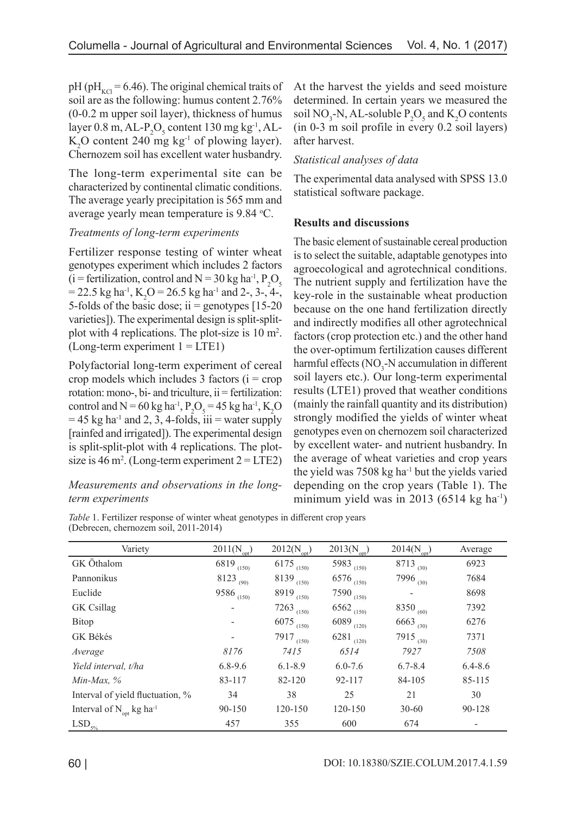pH (pH<sub>KCl</sub> = 6.46). The original chemical traits of soil are as the following: humus content 2.76% (0-0.2 m upper soil layer), thickness of humus layer 0.8 m, AL- $P_2O_5$  content 130 mg kg<sup>-1</sup>, AL- $K_2$ O content 240 mg  $kg^{-1}$  of plowing layer). Chernozem soil has excellent water husbandry.

The long-term experimental site can be characterized by continental climatic conditions. The average yearly precipitation is 565 mm and average yearly mean temperature is 9.84 °C.

### *Treatments of long-term experiments*

Fertilizer response testing of winter wheat genotypes experiment which includes 2 factors (i = fertilization, control and  $N = 30$  kg ha<sup>-1</sup>,  $P_2O_5$  $= 22.5 \text{ kg ha}^{-1}$ , K<sub>2</sub>O = 26.5 kg ha<sup>-1</sup> and 2-, 3-, 4-, 5-folds of the basic dose; ii = genotypes  $[15-20]$ varieties]). The experimental design is split-splitplot with 4 replications. The plot-size is 10 m<sup>2</sup>.  $(Long-term experiment 1 = LTE1)$ 

Polyfactorial long-term experiment of cereal crop models which includes 3 factors  $(i = crop)$ rotation: mono-, bi- and triculture,  $i$  = fertilization: control and  $N = 60$  kg ha<sup>-1</sup>,  $P_2O_5 = 45$  kg ha<sup>-1</sup>, K<sub>2</sub>O  $= 45$  kg ha<sup>-1</sup> and 2, 3, 4-folds, iii = water supply [rainfed and irrigated]). The experimental design is split-split-plot with 4 replications. The plotsize is 46 m<sup>2</sup>. (Long-term experiment  $2 = LTE2$ )

## *Measurements and observations in the longterm experiments*

At the harvest the yields and seed moisture determined. In certain years we measured the soil NO<sub>3</sub>-N, AL-soluble  $P_2O_5$  and  $K_2O$  contents (in 0-3 m soil profile in every 0.2 soil layers) after harvest.

### *Statistical analyses of data*

The experimental data analysed with SPSS 13.0 statistical software package.

#### **Results and discussions**

The basic element of sustainable cereal production is to select the suitable, adaptable genotypes into agroecological and agrotechnical conditions. The nutrient supply and fertilization have the key-role in the sustainable wheat production because on the one hand fertilization directly and indirectly modifies all other agrotechnical factors (crop protection etc.) and the other hand the over-optimum fertilization causes different harmful effects (NO<sub>3</sub>-N accumulation in different soil layers etc.). Our long-term experimental results (LTE1) proved that weather conditions (mainly the rainfall quantity and its distribution) strongly modified the yields of winter wheat genotypes even on chernozem soil characterized by excellent water- and nutrient husbandry. In the average of wheat varieties and crop years the yield was  $7508 \text{ kg}$  ha<sup>-1</sup> but the yields varied depending on the crop years (Table 1). The minimum yield was in 2013  $(6514 \text{ kg ha}^{-1})$ 

*Table* 1. Fertilizer response of winter wheat genotypes in different crop years (Debrecen, chernozem soil, 2011-2014)

| Variety                                   | $2011(N_{\text{opt}})$ | $2012(N_{\text{opt}})$ | $2013(N_{\text{opt}})$ | $2014(N_{opt})$          | Average     |
|-------------------------------------------|------------------------|------------------------|------------------------|--------------------------|-------------|
| GK Öthalom                                | 6819 $_{(150)}$        | 6175 $(150)$           | 5983 $(150)$           | 8713 (30)                | 6923        |
| Pannonikus                                | $8123_{(90)}$          | $8139$ (150)           | 6576 $(150)$           | 7996 $(30)$              | 7684        |
| Euclide                                   | 9586 $_{(150)}$        | 8919 $(150)$           | $7590_{(150)}$         | $\overline{\phantom{a}}$ | 8698        |
| GK Csillag                                |                        | 7263 $(150)$           | 6562 $(150)$           | 8350 $(60)$              | 7392        |
| Bitop                                     |                        | $6075$ (150)           | $6089$ $(120)$         | 6663 (30)                | 6276        |
| GK Békés                                  |                        | $7917_{(150)}$         | 6281 $(120)$           | 7915 (30)                | 7371        |
| Average                                   | 8176                   | 7415                   | 6514                   | 7927                     | 7508        |
| Yield interval, t/ha                      | $6.8 - 9.6$            | $6.1 - 8.9$            | $6.0 - 7.6$            | $6.7 - 8.4$              | $6.4 - 8.6$ |
| $Min-Max, %$                              | 83-117                 | 82-120                 | 92-117                 | 84-105                   | 85-115      |
| Interval of yield fluctuation, %          | 34                     | 38                     | 25                     | 21                       | 30          |
| Interval of $N_{opt}$ kg ha <sup>-1</sup> | 90-150                 | 120-150                | 120-150                | $30 - 60$                | 90-128      |
| $LSD_{\frac{5\%}{2}}$                     | 457                    | 355                    | 600                    | 674                      |             |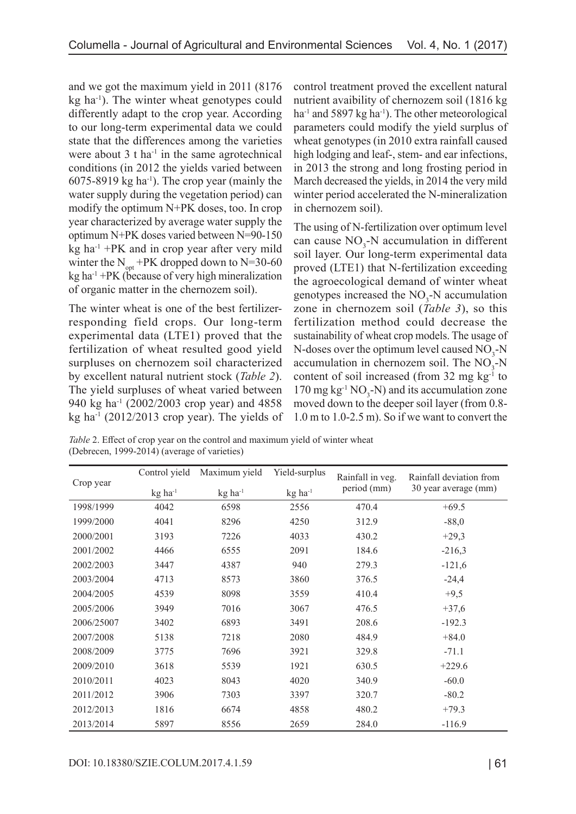and we got the maximum yield in 2011 (8176 kg ha-1). The winter wheat genotypes could differently adapt to the crop year. According to our long-term experimental data we could state that the differences among the varieties were about  $3$  t ha<sup>-1</sup> in the same agrotechnical conditions (in 2012 the yields varied between  $6075-8919$  kg ha<sup>-1</sup>). The crop year (mainly the water supply during the vegetation period) can modify the optimum N+PK doses, too. In crop year characterized by average water supply the optimum N+PK doses varied between N=90-150  $kg$  ha<sup>-1</sup> +PK and in crop year after very mild winter the  $N_{opt}$ +PK dropped down to N=30-60 kg ha-1 +PK (because of very high mineralization of organic matter in the chernozem soil).

The winter wheat is one of the best fertilizerresponding field crops. Our long-term experimental data (LTE1) proved that the fertilization of wheat resulted good yield surpluses on chernozem soil characterized by excellent natural nutrient stock (*Table 2*). The yield surpluses of wheat varied between 940 kg ha-1 (2002/2003 crop year) and 4858 kg ha<sup>-1</sup> (2012/2013 crop year). The yields of control treatment proved the excellent natural nutrient avaibility of chernozem soil (1816 kg  $ha^{-1}$  and 5897 kg ha<sup>-1</sup>). The other meteorological parameters could modify the yield surplus of wheat genotypes (in 2010 extra rainfall caused high lodging and leaf-, stem- and ear infections, in 2013 the strong and long frosting period in March decreased the yields, in 2014 the very mild winter period accelerated the N-mineralization in chernozem soil).

The using of N-fertilization over optimum level can cause  $NO_3$ -N accumulation in different soil layer. Our long-term experimental data proved (LTE1) that N-fertilization exceeding the agroecological demand of winter wheat genotypes increased the  $NO<sub>3</sub>$ -N accumulation zone in chernozem soil (*Table 3*), so this fertilization method could decrease the sustainability of wheat crop models. The usage of N-doses over the optimum level caused  $NO<sub>3</sub>$ -N accumulation in chernozem soil. The  $NO<sub>3</sub>$ -N content of soil increased (from  $32 \text{ mg kg}^{-1}$  to 170 mg  $kg^{-1}$  NO<sub>3</sub>-N) and its accumulation zone moved down to the deeper soil layer (from 0.8- 1.0 m to 1.0-2.5 m). So if we want to convert the

*Table* 2. Effect of crop year on the control and maximum yield of winter wheat (Debrecen, 1999-2014) (average of varieties)

| Control yield<br>Crop year |                       | Maximum yield<br>Yield-surplus |                       | Rainfall in veg. | Rainfall deviation from |  |
|----------------------------|-----------------------|--------------------------------|-----------------------|------------------|-------------------------|--|
|                            | $kg$ ha <sup>-1</sup> | $kg$ ha <sup>-1</sup>          | $kg$ ha <sup>-1</sup> | period (mm)      | 30 year average (mm)    |  |
| 1998/1999                  | 4042                  | 6598                           | 2556                  | 470.4            | $+69.5$                 |  |
| 1999/2000                  | 4041                  | 8296                           | 4250                  | 312.9            | $-88,0$                 |  |
| 2000/2001                  | 3193                  | 7226                           | 4033                  | 430.2            | $+29,3$                 |  |
| 2001/2002                  | 4466                  | 6555                           | 2091                  | 184.6            | $-216,3$                |  |
| 2002/2003                  | 3447                  | 4387                           | 940                   | 279.3            | $-121,6$                |  |
| 2003/2004                  | 4713                  | 8573                           | 3860                  | 376.5            | $-24,4$                 |  |
| 2004/2005                  | 4539                  | 8098                           | 3559                  | 410.4            | $+9,5$                  |  |
| 2005/2006                  | 3949                  | 7016                           | 3067                  | 476.5            | $+37,6$                 |  |
| 2006/25007                 | 3402                  | 6893                           | 3491                  | 208.6            | $-192.3$                |  |
| 2007/2008                  | 5138                  | 7218                           | 2080                  | 484.9            | $+84.0$                 |  |
| 2008/2009                  | 3775                  | 7696                           | 3921                  | 329.8            | $-71.1$                 |  |
| 2009/2010                  | 3618                  | 5539                           | 1921                  | 630.5            | $+229.6$                |  |
| 2010/2011                  | 4023                  | 8043                           | 4020                  | 340.9            | $-60.0$                 |  |
| 2011/2012                  | 3906                  | 7303                           | 3397                  | 320.7            | $-80.2$                 |  |
| 2012/2013                  | 1816                  | 6674                           | 4858                  | 480.2            | $+79.3$                 |  |
| 2013/2014                  | 5897                  | 8556                           | 2659                  | 284.0            | $-116.9$                |  |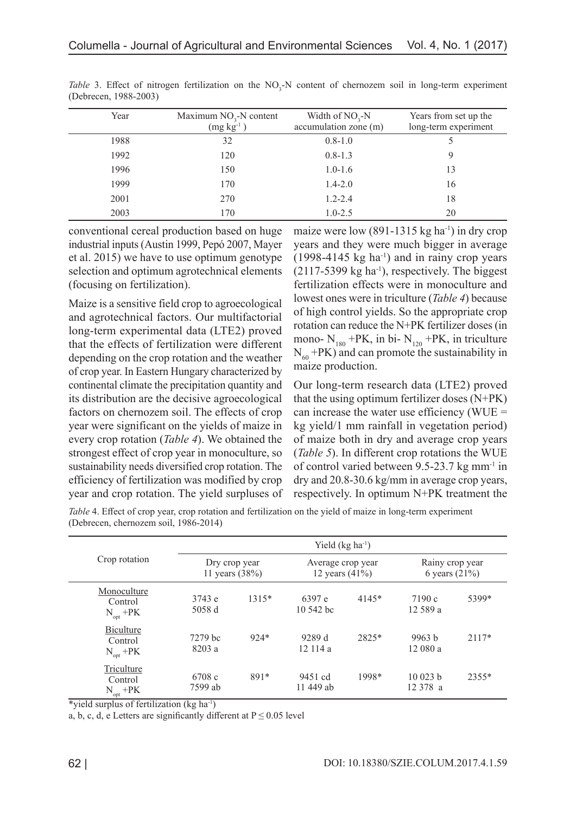| Year | Maximum $NO3-N$ content<br>$(mg kg-1)$ | Width of $NO3-N$<br>accumulation zone (m) | Years from set up the<br>long-term experiment |
|------|----------------------------------------|-------------------------------------------|-----------------------------------------------|
| 1988 | 32                                     | $0.8 - 1.0$                               |                                               |
| 1992 | 120                                    | $0.8 - 1.3$                               |                                               |
| 1996 | 150                                    | $1.0 - 1.6$                               | 13                                            |
| 1999 | 170                                    | $1.4 - 2.0$                               | 16                                            |
| 2001 | 270                                    | $1.2 - 2.4$                               | 18                                            |
| 2003 | 170                                    | $1.0 - 2.5$                               | 20                                            |

Table 3. Effect of nitrogen fertilization on the NO<sub>3</sub>-N content of chernozem soil in long-term experiment (Debrecen, 1988-2003)

conventional cereal production based on huge industrial inputs (Austin 1999, Pepó 2007, Mayer et al. 2015) we have to use optimum genotype selection and optimum agrotechnical elements (focusing on fertilization).

Maize is a sensitive field crop to agroecological and agrotechnical factors. Our multifactorial long-term experimental data (LTE2) proved that the effects of fertilization were different depending on the crop rotation and the weather of crop year. In Eastern Hungary characterized by continental climate the precipitation quantity and its distribution are the decisive agroecological factors on chernozem soil. The effects of crop year were significant on the yields of maize in every crop rotation (*Table 4*). We obtained the strongest effect of crop year in monoculture, so sustainability needs diversified crop rotation. The efficiency of fertilization was modified by crop year and crop rotation. The yield surpluses of maize were low  $(891-1315 \text{ kg ha}^{-1})$  in dry crop years and they were much bigger in average  $(1998-4145 \text{ kg ha}^{-1})$  and in rainy crop years  $(2117-5399 \text{ kg} \text{ ha}^{-1})$ , respectively. The biggest fertilization effects were in monoculture and lowest ones were in triculture (*Table 4*) because of high control yields. So the appropriate crop rotation can reduce the N+PK fertilizer doses (in mono-  $N_{180}$  +PK, in bi-  $N_{120}$  +PK, in triculture  $N_{60}$  +PK) and can promote the sustainability in maize production.

Our long-term research data (LTE2) proved that the using optimum fertilizer doses (N+PK) can increase the water use efficiency (WUE  $=$ kg yield/1 mm rainfall in vegetation period) of maize both in dry and average crop years (*Table 5*). In different crop rotations the WUE of control varied between 9.5-23.7 kg mm-1 in dry and 20.8-30.6 kg/mm in average crop years, respectively. In optimum N+PK treatment the

*Table* 4. Effect of crop year, crop rotation and fertilization on the yield of maize in long-term experiment (Debrecen, chernozem soil, 1986-2014)

| Crop rotation                           | Yield $(kg ha-1)$               |        |                                        |         |                                    |         |
|-----------------------------------------|---------------------------------|--------|----------------------------------------|---------|------------------------------------|---------|
|                                         | Dry crop year<br>11 years (38%) |        | Average crop year<br>12 years $(41\%)$ |         | Rainy crop year<br>6 years $(21%)$ |         |
| Monoculture<br>Control<br>$N_{opt}$ +PK | 3743 e<br>5058 d                | 1315*  | 6397 e<br>$10,542$ bc                  | $4145*$ | 7190c<br>12 589 a                  | 5399*   |
| Biculture<br>Control<br>$N_{opt}$ +PK   | 7279 bc<br>8203 a               | $924*$ | 9289 d<br>12114a                       | 2825*   | 9963 b<br>12 080 a                 | $2117*$ |
| Triculture<br>Control<br>$N_{opt}$ +PK  | 6708 c<br>7599 ab               | $891*$ | 9451 cd<br>11 449 ab                   | 1998*   | 10023 b<br>12 378 a                | 2355*   |

\*yield surplus of fertilization ( $kg$  ha<sup>-1</sup>)

a, b, c, d, e Letters are significantly different at  $P \le 0.05$  level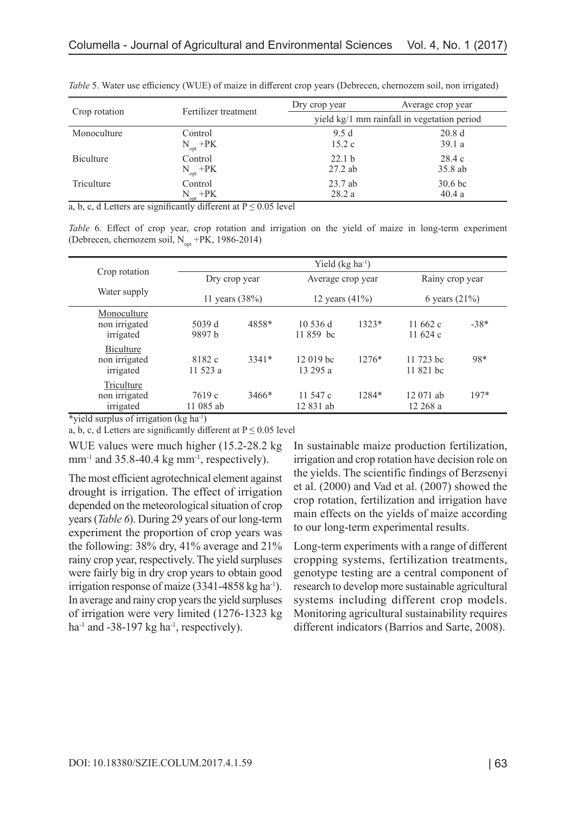|                  | Fertilizer treatment | Dry crop year | Average crop year                           |
|------------------|----------------------|---------------|---------------------------------------------|
| Crop rotation    |                      |               | yield kg/1 mm rainfall in vegetation period |
| Monoculture      | Control              | 9.5d          | 20.8d                                       |
|                  | $N_{opt}$ +PK        | 15.2c         | 39.1a                                       |
| <b>Biculture</b> | Control              | 22.1 b        | 28.4c                                       |
|                  | $N_{opt}$ +PK        | $27.2$ ab     | 35.8 ab                                     |
| Triculture       | Control              | $23.7$ ab     | 30.6 <sub>bc</sub>                          |
|                  | N +PK                | 28.2a         | 40.4a                                       |

*Table* 5. Water use efficiency (WUE) of maize in different crop years (Debrecen, chernozem soil, non irrigated)

a, b, c, d Letters are significantly different at  $P \le 0.05$  level

*Table* 6. Effect of crop year, crop rotation and irrigation on the yield of maize in long-term experiment (Debrecen, chernozem soil,  $N_{\text{out}}$  +PK, 1986-2014)

|                                           |                    | Yield $(kg ha-1)$               |                       |                                        |                        |                                    |  |
|-------------------------------------------|--------------------|---------------------------------|-----------------------|----------------------------------------|------------------------|------------------------------------|--|
| Crop rotation                             |                    | Dry crop year<br>11 years (38%) |                       | Average crop year<br>12 years $(41\%)$ |                        | Rainy crop year<br>6 years $(21%)$ |  |
| Water supply                              |                    |                                 |                       |                                        |                        |                                    |  |
| Monoculture<br>non irrigated<br>irrigated | 5039 d<br>9897 b   | 4858*                           | 10536 d<br>11 859 bc  | $1323*$                                | 11 $662c$<br>11 $624c$ | $-38*$                             |  |
| Biculture<br>non irrigated<br>irrigated   | 8182 c<br>11 523 a | 3341*                           | 12 019 bc<br>13 295 a | $1276*$                                | 11 723 bc<br>11 821 bc | 98*                                |  |
| Triculture<br>non irrigated<br>irrigated  | 7619c<br>11 085 ab | 3466*                           | 11 547 c<br>12 831 ab | 1284*                                  | 12 071 ab<br>12 268 a  | 197*                               |  |

\*yield surplus of irrigation  $(kg \text{ ha}^{-1})$ 

a, b, c, d Letters are significantly different at  $P \le 0.05$  level

WUE values were much higher (15.2-28.2 kg  $mm^{-1}$  and 35.8-40.4 kg  $mm^{-1}$ , respectively).

The most efficient agrotechnical element against drought is irrigation. The effect of irrigation depended on the meteorological situation of crop years (*Table 6*). During 29 years of our long-term experiment the proportion of crop years was the following: 38% dry, 41% average and 21% rainy crop year, respectively. The yield surpluses were fairly big in dry crop years to obtain good irrigation response of maize  $(3341-4858 \text{ kg ha}^{-1})$ . In average and rainy crop years the yield surpluses of irrigation were very limited (1276-1323 kg ha<sup>-1</sup> and -38-197 kg ha<sup>-1</sup>, respectively).

In sustainable maize production fertilization, irrigation and crop rotation have decision role on the yields. The scientific findings of Berzsenyi et al. (2000) and Vad et al. (2007) showed the crop rotation, fertilization and irrigation have main effects on the yields of maize according to our long-term experimental results.

Long-term experiments with a range of different cropping systems, fertilization treatments, genotype testing are a central component of research to develop more sustainable agricultural systems including different crop models. Monitoring agricultural sustainability requires different indicators (Barrios and Sarte, 2008).